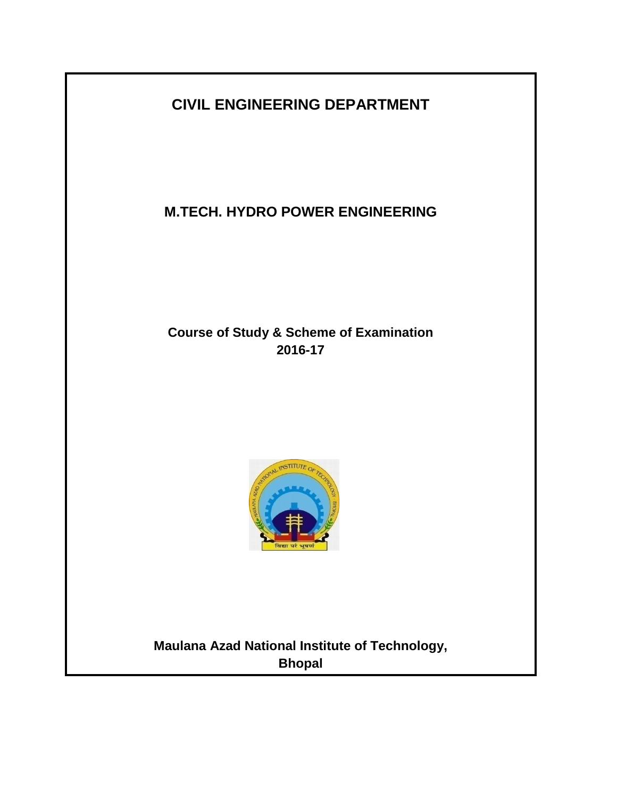**CIVIL ENGINEERING DEPARTMENT**

**M.TECH. HYDRO POWER ENGINEERING**

**Course of Study & Scheme of Examination 2016-17**



**Maulana Azad National Institute of Technology, Bhopal**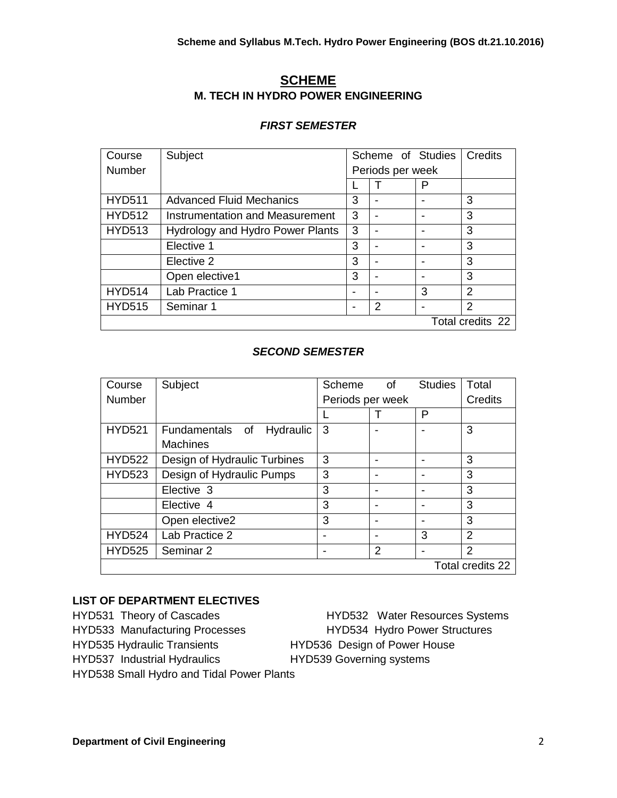# **SCHEME M. TECH IN HYDRO POWER ENGINEERING**

#### *FIRST SEMESTER*

| Course           | Subject                          | Scheme of Studies | Credits          |   |                |
|------------------|----------------------------------|-------------------|------------------|---|----------------|
| <b>Number</b>    |                                  |                   | Periods per week |   |                |
|                  |                                  |                   |                  | P |                |
| <b>HYD511</b>    | <b>Advanced Fluid Mechanics</b>  | 3                 |                  |   | 3              |
| <b>HYD512</b>    | Instrumentation and Measurement  | 3                 |                  |   | 3              |
| <b>HYD513</b>    | Hydrology and Hydro Power Plants | 3                 |                  |   | 3              |
|                  | Elective 1                       | 3                 |                  |   | 3              |
|                  | Elective 2                       | 3                 |                  |   | 3              |
|                  | Open elective1                   | 3                 |                  |   | 3              |
| <b>HYD514</b>    | Lab Practice 1                   |                   |                  | 3 | 2              |
| <b>HYD515</b>    | Seminar 1                        | -                 | 2                |   | $\overline{2}$ |
| Total credits 22 |                                  |                   |                  |   |                |

## *SECOND SEMESTER*

| Course           | Subject                      | Scheme                   | 0f | <b>Studies</b> | Total          |
|------------------|------------------------------|--------------------------|----|----------------|----------------|
| Number           |                              | Periods per week         |    |                | Credits        |
|                  |                              |                          |    | P              |                |
| <b>HYD521</b>    | Fundamentals of<br>Hydraulic | 3                        |    |                | 3              |
|                  | <b>Machines</b>              |                          |    |                |                |
| <b>HYD522</b>    | Design of Hydraulic Turbines | 3                        |    |                | 3              |
| <b>HYD523</b>    | Design of Hydraulic Pumps    | 3                        |    |                | 3              |
|                  | Elective 3                   | 3                        |    |                | 3              |
|                  | Elective 4                   | 3                        |    |                | 3              |
|                  | Open elective2               | 3                        |    |                | 3              |
| <b>HYD524</b>    | Lab Practice 2               | $\overline{\phantom{0}}$ |    | 3              | $\mathcal{P}$  |
| <b>HYD525</b>    | Seminar 2                    |                          | 2  |                | $\overline{2}$ |
| Total credits 22 |                              |                          |    |                |                |

## **LIST OF DEPARTMENT ELECTIVES**

HYD533 Manufacturing Processes HYD534 Hydro Power Structures HYD535 Hydraulic Transients HYD536 Design of Power House HYD537 Industrial Hydraulics HYD539 Governing systems HYD538 Small Hydro and Tidal Power Plants

HYD531 Theory of Cascades HYD532 Water Resources Systems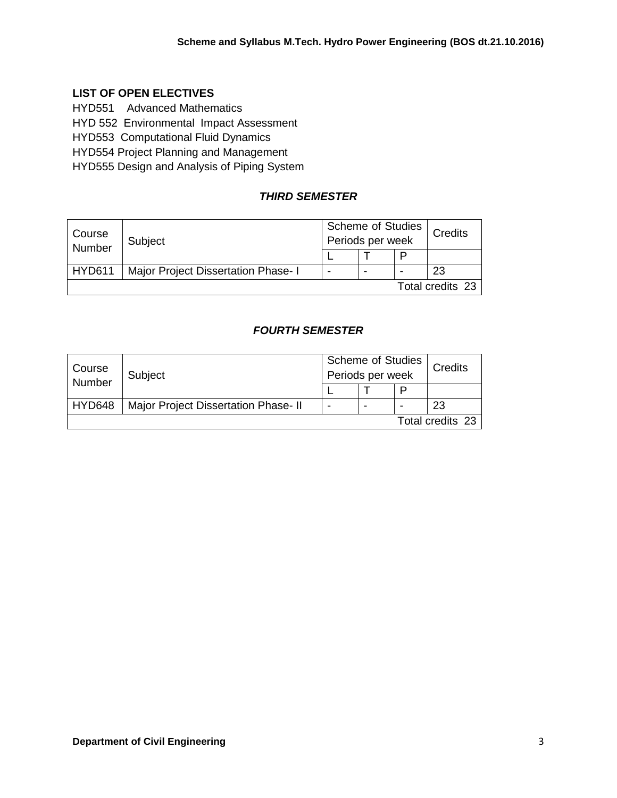## **LIST OF OPEN ELECTIVES**

HYD551 Advanced Mathematics

HYD 552 Environmental Impact Assessment

HYD553 Computational Fluid Dynamics

HYD554 Project Planning and Management

HYD555 Design and Analysis of Piping System

# *THIRD SEMESTER*

| Course<br>Number | Subject                             | <b>Scheme of Studies</b><br>Periods per week |  |   | Credits |
|------------------|-------------------------------------|----------------------------------------------|--|---|---------|
|                  |                                     |                                              |  | P |         |
| <b>HYD611</b>    | Major Project Dissertation Phase- I |                                              |  |   | 23      |
| Total credits 23 |                                     |                                              |  |   |         |

# *FOURTH SEMESTER*

| Course<br>Number | Subject                              | <b>Scheme of Studies</b><br>Periods per week |   |   | <b>Credits</b>   |
|------------------|--------------------------------------|----------------------------------------------|---|---|------------------|
|                  |                                      |                                              |   | D |                  |
| HYD648           | Major Project Dissertation Phase- II |                                              | - |   | 23               |
|                  |                                      |                                              |   |   | Total credits 23 |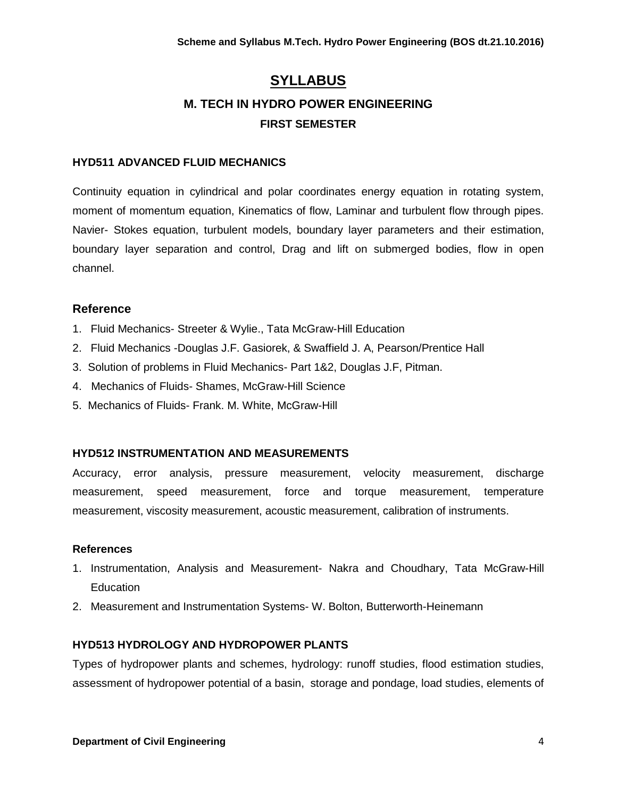# **SYLLABUS M. TECH IN HYDRO POWER ENGINEERING FIRST SEMESTER**

#### **HYD511 ADVANCED FLUID MECHANICS**

Continuity equation in cylindrical and polar coordinates energy equation in rotating system, moment of momentum equation, Kinematics of flow, Laminar and turbulent flow through pipes. Navier- Stokes equation, turbulent models, boundary layer parameters and their estimation, boundary layer separation and control, Drag and lift on submerged bodies, flow in open channel.

## **Reference**

- 1. Fluid Mechanics- Streeter & Wylie., Tata McGraw-Hill Education
- 2. Fluid Mechanics -Douglas J.F. Gasiorek, & Swaffield J. A, Pearson/Prentice Hall
- 3. Solution of problems in Fluid Mechanics- Part 1&2, Douglas J.F, Pitman.
- 4. Mechanics of Fluids- Shames, McGraw-Hill Science
- 5. Mechanics of Fluids- Frank. M. White, McGraw-Hill

#### **HYD512 INSTRUMENTATION AND MEASUREMENTS**

Accuracy, error analysis, pressure measurement, velocity measurement, discharge measurement, speed measurement, force and torque measurement, temperature measurement, viscosity measurement, acoustic measurement, calibration of instruments.

#### **References**

- 1. Instrumentation, Analysis and Measurement- Nakra and Choudhary, Tata McGraw-Hill **Education**
- 2. Measurement and Instrumentation Systems- W. Bolton, Butterworth-Heinemann

#### **HYD513 HYDROLOGY AND HYDROPOWER PLANTS**

Types of hydropower plants and schemes, hydrology: runoff studies, flood estimation studies, assessment of hydropower potential of a basin, storage and pondage, load studies, elements of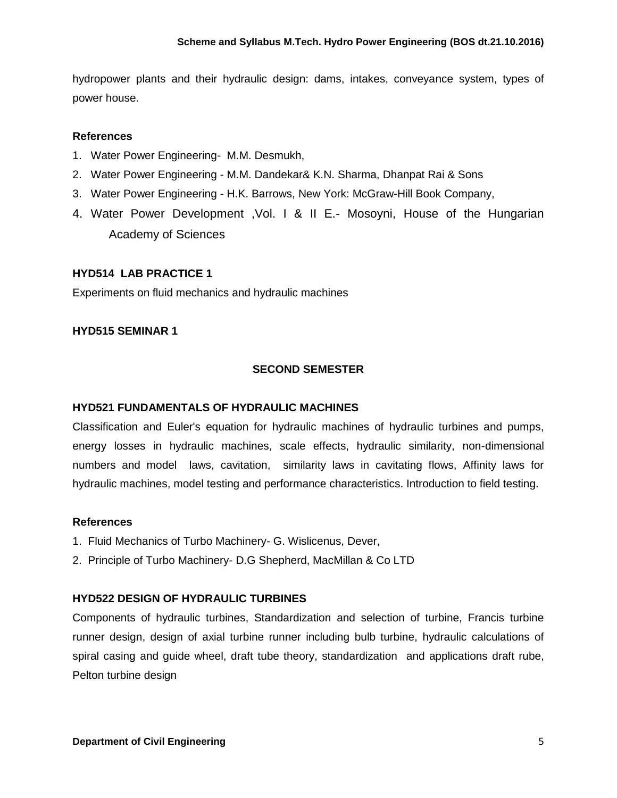hydropower plants and their hydraulic design: dams, intakes, conveyance system, types of power house.

#### **References**

- 1. Water Power Engineering- M.M. Desmukh,
- 2. Water Power Engineering M.M. Dandekar& K.N. Sharma, Dhanpat Rai & Sons
- 3. Water Power Engineering H.K. Barrows, New York: McGraw-Hill Book Company,
- 4. Water Power Development ,Vol. I & II E.- Mosoyni, House of the Hungarian Academy of Sciences

#### **HYD514 LAB PRACTICE 1**

Experiments on fluid mechanics and hydraulic machines

#### **HYD515 SEMINAR 1**

#### **SECOND SEMESTER**

#### **HYD521 FUNDAMENTALS OF HYDRAULIC MACHINES**

Classification and Euler's equation for hydraulic machines of hydraulic turbines and pumps, energy losses in hydraulic machines, scale effects, hydraulic similarity, non-dimensional numbers and model laws, cavitation, similarity laws in cavitating flows, Affinity laws for hydraulic machines, model testing and performance characteristics. Introduction to field testing.

#### **References**

- 1. Fluid Mechanics of Turbo Machinery- G. Wislicenus, Dever,
- 2. Principle of Turbo Machinery- D.G Shepherd, MacMillan & Co LTD

#### **HYD522 DESIGN OF HYDRAULIC TURBINES**

Components of hydraulic turbines, Standardization and selection of turbine, Francis turbine runner design, design of axial turbine runner including bulb turbine, hydraulic calculations of spiral casing and guide wheel, draft tube theory, standardization and applications draft rube, Pelton turbine design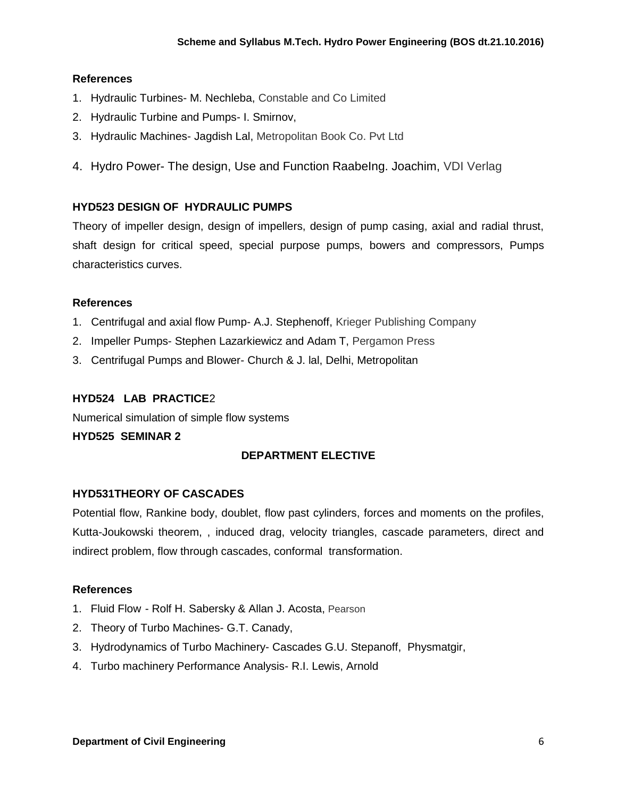## **References**

- 1. Hydraulic Turbines- M. Nechleba, Constable and Co Limited
- 2. Hydraulic Turbine and Pumps- I. Smirnov,
- 3. Hydraulic Machines- Jagdish Lal, Metropolitan Book Co. Pvt Ltd
- 4. Hydro Power- The design, Use and Function Raabelng. Joachim, VDI Verlag

## **HYD523 DESIGN OF HYDRAULIC PUMPS**

Theory of impeller design, design of impellers, design of pump casing, axial and radial thrust, shaft design for critical speed, special purpose pumps, bowers and compressors, Pumps characteristics curves.

## **References**

- 1. Centrifugal and axial flow Pump- A.J. Stephenoff, Krieger Publishing Company
- 2. Impeller Pumps- Stephen Lazarkiewicz and Adam T, Pergamon Press
- 3. Centrifugal Pumps and Blower- Church & J. lal, Delhi, Metropolitan

## **HYD524 LAB PRACTICE**2

Numerical simulation of simple flow systems

## **HYD525 SEMINAR 2**

## **DEPARTMENT ELECTIVE**

## **HYD531THEORY OF CASCADES**

Potential flow, Rankine body, doublet, flow past cylinders, forces and moments on the profiles, Kutta-Joukowski theorem, , induced drag, velocity triangles, cascade parameters, direct and indirect problem, flow through cascades, conformal transformation.

- 1. Fluid Flow Rolf H. Sabersky & Allan J. Acosta, Pearson
- 2. Theory of Turbo Machines- G.T. Canady,
- 3. Hydrodynamics of Turbo Machinery- Cascades G.U. Stepanoff, Physmatgir,
- 4. Turbo machinery Performance Analysis- R.I. Lewis, Arnold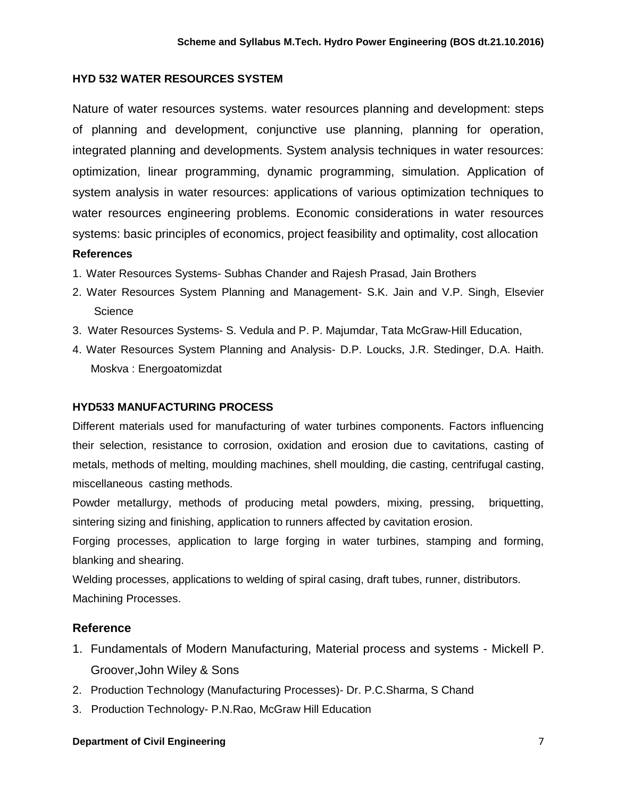#### **HYD 532 WATER RESOURCES SYSTEM**

Nature of water resources systems. water resources planning and development: steps of planning and development, conjunctive use planning, planning for operation, integrated planning and developments. System analysis techniques in water resources: optimization, linear programming, dynamic programming, simulation. Application of system analysis in water resources: applications of various optimization techniques to water resources engineering problems. Economic considerations in water resources systems: basic principles of economics, project feasibility and optimality, cost allocation

#### **References**

- 1. Water Resources Systems- Subhas Chander and Rajesh Prasad, Jain Brothers
- 2. Water Resources System Planning and Management- S.K. Jain and V.P. Singh, Elsevier **Science**
- 3. Water Resources Systems- S. Vedula and P. P. Majumdar, Tata McGraw-Hill Education,
- 4. Water Resources System Planning and Analysis- D.P. Loucks, J.R. Stedinger, D.A. Haith. Moskva : Energoatomizdat

## **HYD533 MANUFACTURING PROCESS**

Different materials used for manufacturing of water turbines components. Factors influencing their selection, resistance to corrosion, oxidation and erosion due to cavitations, casting of metals, methods of melting, moulding machines, shell moulding, die casting, centrifugal casting, miscellaneous casting methods.

Powder metallurgy, methods of producing metal powders, mixing, pressing, briquetting, sintering sizing and finishing, application to runners affected by cavitation erosion.

Forging processes, application to large forging in water turbines, stamping and forming, blanking and shearing.

Welding processes, applications to welding of spiral casing, draft tubes, runner, distributors. Machining Processes.

## **Reference**

- 1. Fundamentals of Modern Manufacturing, Material process and systems Mickell P. Groover,John Wiley & Sons
- 2. Production Technology (Manufacturing Processes)- Dr. P.C.Sharma, S Chand
- 3. Production Technology- P.N.Rao, McGraw Hill Education

#### **Department of Civil Engineering 7**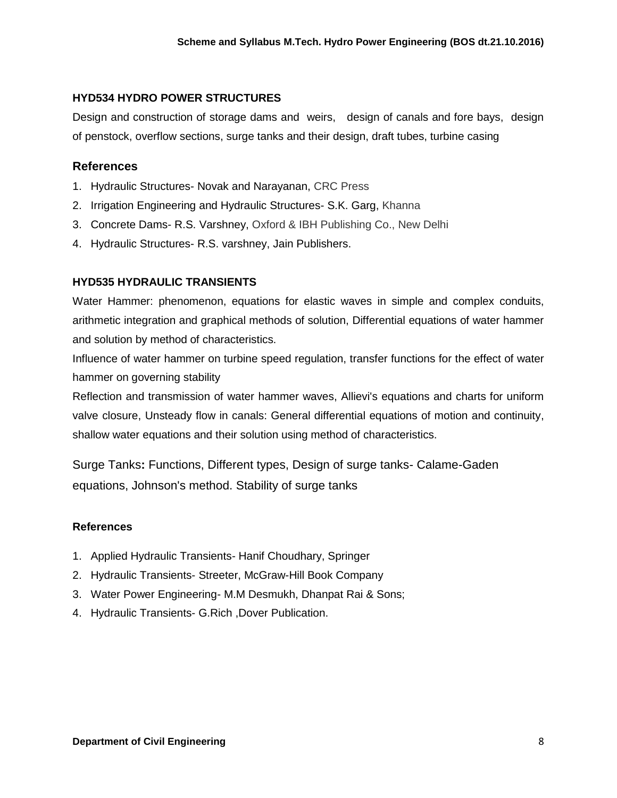#### **HYD534 HYDRO POWER STRUCTURES**

Design and construction of storage dams and weirs, design of canals and fore bays, design of penstock, overflow sections, surge tanks and their design, draft tubes, turbine casing

#### **References**

- 1. Hydraulic Structures- Novak and Narayanan, CRC Press
- 2. Irrigation Engineering and Hydraulic Structures- S.K. Garg, Khanna
- 3. Concrete Dams- R.S. Varshney, Oxford & IBH Publishing Co., New Delhi
- 4. Hydraulic Structures- R.S. varshney, Jain Publishers.

#### **HYD535 HYDRAULIC TRANSIENTS**

Water Hammer: phenomenon, equations for elastic waves in simple and complex conduits, arithmetic integration and graphical methods of solution, Differential equations of water hammer and solution by method of characteristics.

Influence of water hammer on turbine speed regulation, transfer functions for the effect of water hammer on governing stability

Reflection and transmission of water hammer waves, Allievi's equations and charts for uniform valve closure, Unsteady flow in canals: General differential equations of motion and continuity, shallow water equations and their solution using method of characteristics.

Surge Tanks**:** Functions, Different types, Design of surge tanks- Calame-Gaden equations, Johnson's method. Stability of surge tanks

- 1. Applied Hydraulic Transients- Hanif Choudhary, Springer
- 2. Hydraulic Transients- Streeter, McGraw-Hill Book Company
- 3. Water Power Engineering- M.M Desmukh, Dhanpat Rai & Sons;
- 4. Hydraulic Transients- G.Rich ,Dover Publication.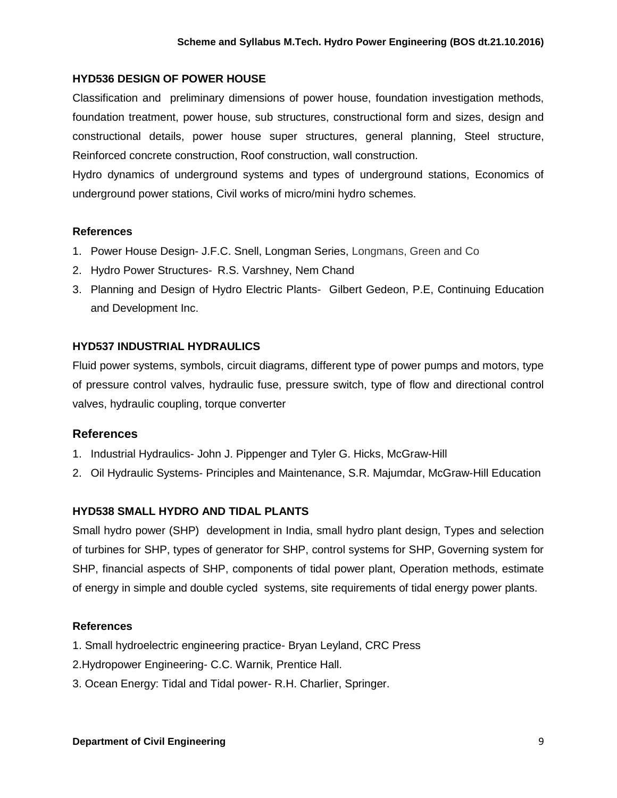#### **HYD536 DESIGN OF POWER HOUSE**

Classification and preliminary dimensions of power house, foundation investigation methods, foundation treatment, power house, sub structures, constructional form and sizes, design and constructional details, power house super structures, general planning, Steel structure, Reinforced concrete construction, Roof construction, wall construction.

Hydro dynamics of underground systems and types of underground stations, Economics of underground power stations, Civil works of micro/mini hydro schemes.

#### **References**

- 1. Power House Design- J.F.C. Snell, Longman Series, Longmans, Green and Co
- 2. Hydro Power Structures- R.S. Varshney, Nem Chand
- 3. Planning and Design of Hydro Electric Plants- Gilbert Gedeon, P.E, Continuing Education and Development Inc.

## **HYD537 INDUSTRIAL HYDRAULICS**

Fluid power systems, symbols, circuit diagrams, different type of power pumps and motors, type of pressure control valves, hydraulic fuse, pressure switch, type of flow and directional control valves, hydraulic coupling, torque converter

## **References**

- 1. Industrial Hydraulics- John J. Pippenger and Tyler G. Hicks, McGraw-Hill
- 2. Oil Hydraulic Systems- Principles and Maintenance, S.R. Majumdar, McGraw-Hill Education

## **HYD538 SMALL HYDRO AND TIDAL PLANTS**

Small hydro power (SHP) development in India, small hydro plant design, Types and selection of turbines for SHP, types of generator for SHP, control systems for SHP, Governing system for SHP, financial aspects of SHP, components of tidal power plant, Operation methods, estimate of energy in simple and double cycled systems, site requirements of tidal energy power plants.

- 1. Small hydroelectric engineering practice- Bryan Leyland, CRC Press
- 2.Hydropower Engineering- C.C. Warnik, Prentice Hall.
- 3. Ocean Energy: Tidal and Tidal power- R.H. Charlier, Springer.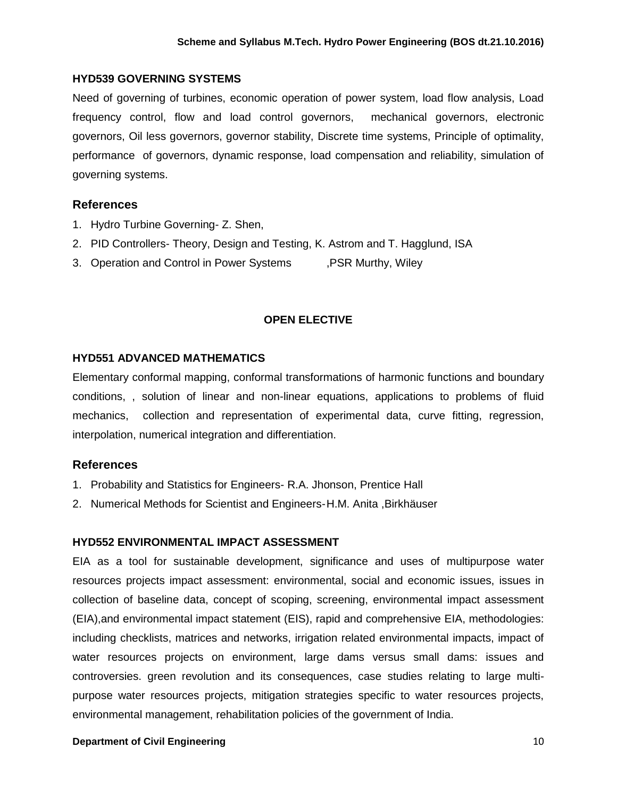#### **HYD539 GOVERNING SYSTEMS**

Need of governing of turbines, economic operation of power system, load flow analysis, Load frequency control, flow and load control governors, mechanical governors, electronic governors, Oil less governors, governor stability, Discrete time systems, Principle of optimality, performance of governors, dynamic response, load compensation and reliability, simulation of governing systems.

## **References**

- 1. Hydro Turbine Governing- Z. Shen,
- 2. PID Controllers- Theory, Design and Testing, K. Astrom and T. Hagglund, ISA
- 3. Operation and Control in Power Systems . PSR Murthy, Wiley

#### **OPEN ELECTIVE**

#### **HYD551 ADVANCED MATHEMATICS**

Elementary conformal mapping, conformal transformations of harmonic functions and boundary conditions, , solution of linear and non-linear equations, applications to problems of fluid mechanics, collection and representation of experimental data, curve fitting, regression, interpolation, numerical integration and differentiation.

## **References**

- 1. Probability and Statistics for Engineers- R.A. Jhonson, Prentice Hall
- 2. Numerical Methods for Scientist and Engineers-H.M. Anita ,Birkhäuser

#### **HYD552 ENVIRONMENTAL IMPACT ASSESSMENT**

EIA as a tool for sustainable development, significance and uses of multipurpose water resources projects impact assessment: environmental, social and economic issues, issues in collection of baseline data, concept of scoping, screening, environmental impact assessment (EIA),and environmental impact statement (EIS), rapid and comprehensive EIA, methodologies: including checklists, matrices and networks, irrigation related environmental impacts, impact of water resources projects on environment, large dams versus small dams: issues and controversies. green revolution and its consequences, case studies relating to large multipurpose water resources projects, mitigation strategies specific to water resources projects, environmental management, rehabilitation policies of the government of India.

#### **Department of Civil Engineering 10 and 20 and 20 and 20 and 20 and 20 and 20 and 20 and 20 and 20 and 20 and 20 and 20 and 20 and 20 and 20 and 20 and 20 and 20 and 20 and 20 and 20 and 20 and 20 and 20 and 20 and 20 and**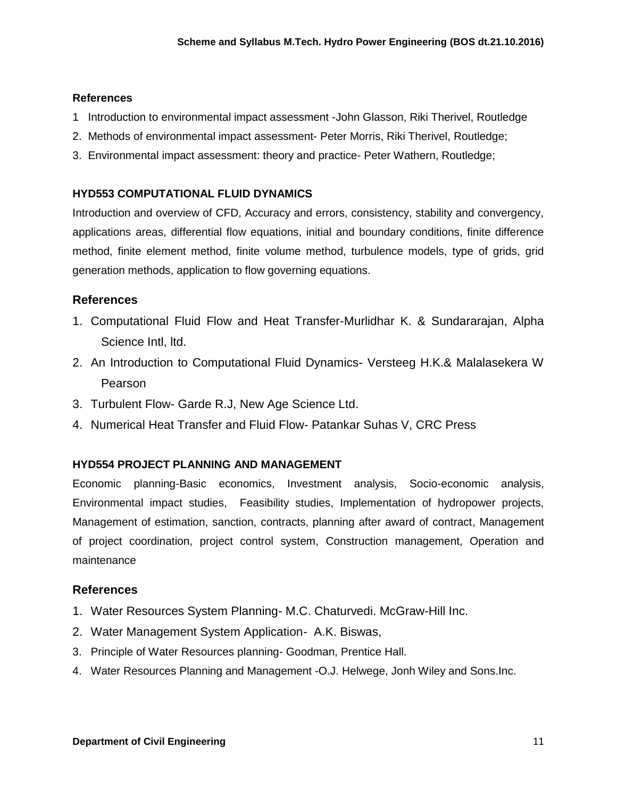#### **References**

- 1 [Introduction to environmental impact assessment](http://books.google.co.in/books?id=7cZ6Sxd9gR4C&printsec=frontcover&dq=eia&hl=en&sa=X&ei=lMU8T8KsNYfYrQed4LHRBw&ved=0CD4Q6AEwAQ) [-John Glasson,](http://www.google.co.in/search?hl=en&sa=G&tbm=bks&tbm=bks&q=inauthor:%22John+Glasson%22&ei=lMU8T8KsNYfYrQed4LHRBw&ved=0CD8Q9Ag) [Riki Therivel,](http://www.google.co.in/search?hl=en&sa=G&tbm=bks&tbm=bks&q=inauthor:%22John+Glasson%22&q=inauthor:%22Riki+Therivel%22&ei=lMU8T8KsNYfYrQed4LHRBw&ved=0CEAQ9Ag) Routledge
- 2. [Methods of environmental impact assessment-](http://books.google.co.in/books?id=XXBwx-UznToC&pg=PA13&dq=eia&hl=en&sa=X&ei=lMU8T8KsNYfYrQed4LHRBw&ved=0CGkQ6AEwCA) [Peter Morris,](http://books.google.co.in/books?id=XXBwx-UznToC&pg=PA13&dq=eia&hl=en&sa=X&ei=lMU8T8KsNYfYrQed4LHRBw&ved=0CGkQ6AEwCA) Riki Therivel, Routledge;
- 3. [Environmental impact assessment: theory and practice-](http://books.google.co.in/books?id=rOUOAAAAQAAJ&pg=PA114&dq=eia&hl=en&sa=X&ei=3sU8T-uJIpGqrAfbtK3dBw&ved=0CDoQ6AEwATgK) [Peter Wathern,](http://books.google.co.in/books?id=rOUOAAAAQAAJ&pg=PA114&dq=eia&hl=en&sa=X&ei=3sU8T-uJIpGqrAfbtK3dBw&ved=0CDoQ6AEwATgK) Routledge;

## **HYD553 COMPUTATIONAL FLUID DYNAMICS**

Introduction and overview of CFD, Accuracy and errors, consistency, stability and convergency, applications areas, differential flow equations, initial and boundary conditions, finite difference method, finite element method, finite volume method, turbulence models, type of grids, grid generation methods, application to flow governing equations.

## **References**

- 1. Computational Fluid Flow and Heat Transfer-Murlidhar K. & Sundararajan, Alpha Science Intl, ltd.
- 2. An Introduction to Computational Fluid Dynamics- Versteeg H.K.& Malalasekera W Pearson
- 3. Turbulent Flow- Garde R.J, New Age Science Ltd.
- 4. Numerical Heat Transfer and Fluid Flow- Patankar Suhas V, CRC Press

## **HYD554 PROJECT PLANNING AND MANAGEMENT**

Economic planning-Basic economics, Investment analysis, Socio-economic analysis, Environmental impact studies, Feasibility studies, Implementation of hydropower projects, Management of estimation, sanction, contracts, planning after award of contract, Management of project coordination, project control system, Construction management, Operation and maintenance

- 1. Water Resources System Planning- M.C. Chaturvedi. McGraw-Hill Inc.
- 2. Water Management System Application- A.K. Biswas,
- 3. Principle of Water Resources planning- Goodman, Prentice Hall.
- 4. Water Resources Planning and Management -O.J. Helwege, Jonh Wiley and Sons.Inc.